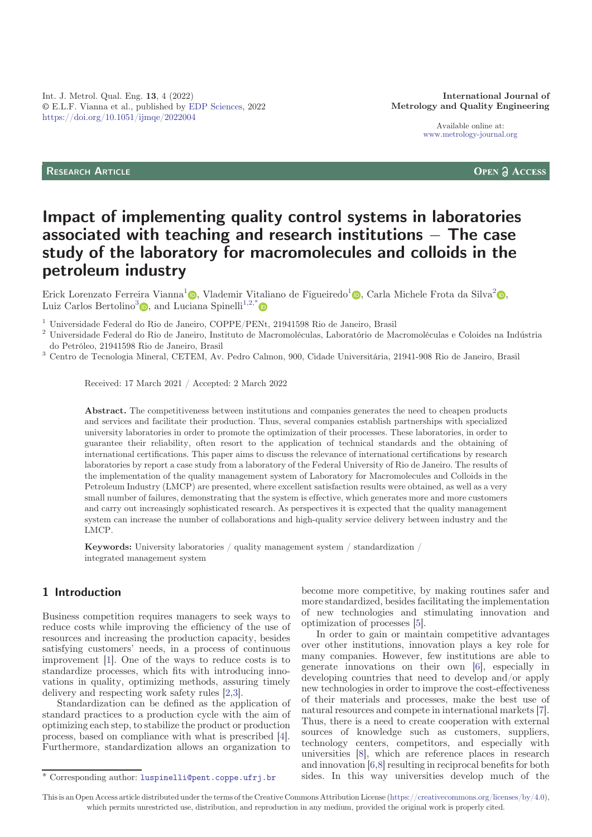Available online at: [www.metrology-journal.org](https://www.metrology-journal.org)

## RESEARCH ARTICLE

**OPEN A ACCESS** 

# Impact of implementing quality control systems in laboratories associated with teaching and research institutions  $-$  The case study of the laboratory for macromolecules and colloids in the petroleum industry

Erick Lorenzato Ferreira Vianna<sup>[1](https://orcid.org/0000-0002-3935-9059)</sup>., Vlademir Vitaliano de Figueiredo<sup>1</sup>., Carla Michele Frota da Silva<sup>[2](https://orcid.org/0000-0001-8017-848X)</sup>. Luiz Carlos Bertolino<sup>[3](https://orcid.org/0000-0002-0908-180X)</sup> , and Luciana Spinelli<sup>1,2,[\\*](https://orcid.org/0000-0001-7645-8657)</sup>

 $^1$ Universidade Federal do Rio de Janeiro, COPPE/PENt, 21941598 Rio de Janeiro, Brasil  $^2$ Universidade Federal do Rio de Janeiro, Instituto de Macromoléculas, Laboratório de Macromoléculas e Coloides na Indústria do Pet

do Petróleo, 21941598 Rio de Janeiro, Brasil <sup>3</sup> Centro de Tecnologia Mineral, CETEM, Av. Pedro Calmon, 900, Cidade Universitária, 21941-908 Rio de Janeiro, Brasil

Received: 17 March 2021 / Accepted: 2 March 2022

Abstract. The competitiveness between institutions and companies generates the need to cheapen products and services and facilitate their production. Thus, several companies establish partnerships with specialized university laboratories in order to promote the optimization of their processes. These laboratories, in order to guarantee their reliability, often resort to the application of technical standards and the obtaining of international certifications. This paper aims to discuss the relevance of international certifications by research laboratories by report a case study from a laboratory of the Federal University of Rio de Janeiro. The results of the implementation of the quality management system of Laboratory for Macromolecules and Colloids in the Petroleum Industry (LMCP) are presented, where excellent satisfaction results were obtained, as well as a very small number of failures, demonstrating that the system is effective, which generates more and more customers and carry out increasingly sophisticated research. As perspectives it is expected that the quality management system can increase the number of collaborations and high-quality service delivery between industry and the LMCP.

Keywords: University laboratories / quality management system / standardization / integrated management system

# 1 Introduction

Business competition requires managers to seek ways to reduce costs while improving the efficiency of the use of resources and increasing the production capacity, besides satisfying customers' needs, in a process of continuous improvement [[1\]](#page-7-0). One of the ways to reduce costs is to standardize processes, which fits with introducing innovations in quality, optimizing methods, assuring timely delivery and respecting work safety rules [[2,3](#page-7-0)].

Standardization can be defined as the application of standard practices to a production cycle with the aim of optimizing each step, to stabilize the product or production process, based on compliance with what is prescribed [\[4](#page-7-0)]. Furthermore, standardization allows an organization to

become more competitive, by making routines safer and more standardized, besides facilitating the implementation of new technologies and stimulating innovation and optimization of processes [\[5](#page-7-0)].

In order to gain or maintain competitive advantages over other institutions, innovation plays a key role for many companies. However, few institutions are able to generate innovations on their own [\[6](#page-7-0)], especially in developing countries that need to develop and/or apply new technologies in order to improve the cost-effectiveness of their materials and processes, make the best use of natural resources and compete in international markets [\[7](#page-7-0)]. Thus, there is a need to create cooperation with external sources of knowledge such as customers, suppliers, technology centers, competitors, and especially with universities [[8\]](#page-7-0), which are reference places in research and innovation [\[6](#page-7-0),[8](#page-7-0)] resulting in reciprocal benefits for both \* Corresponding author: [luspinelli@pent.coppe.ufrj.br](mailto:luspinelli@pent.coppe.ufrj.br) sides. In this way universities develop much of the

This is an Open Access article distributed under the terms of the Creative Commons Attribution License [\(https://creativecommons.org/licenses/by/4.0\)](https://creativecommons.org/licenses/by/4.0), which permits unrestricted use, distribution, and reproduction in any medium, provided the original work is properly cited.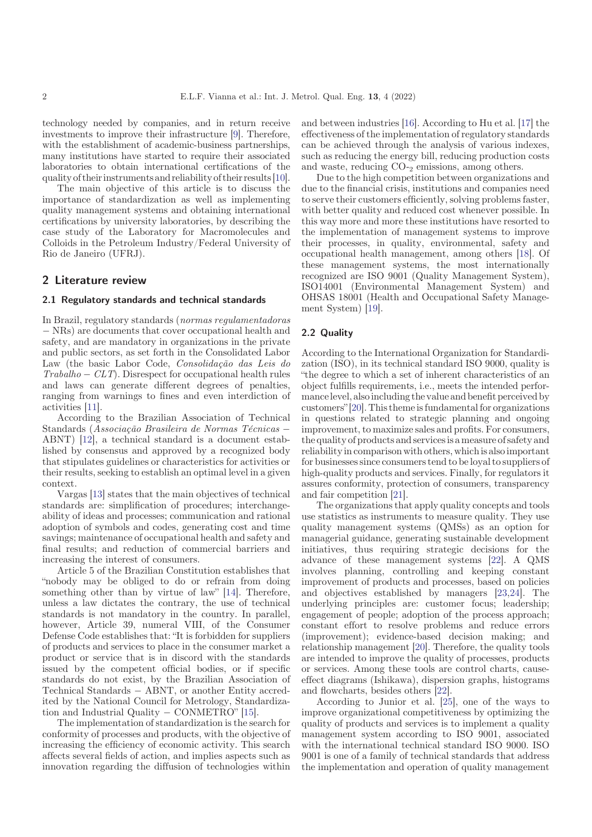technology needed by companies, and in return receive investments to improve their infrastructure [[9](#page-7-0)]. Therefore, with the establishment of academic-business partnerships, many institutions have started to require their associated laboratories to obtain international certifications of the quality of their instruments and reliability of their results [[10\]](#page-7-0).

The main objective of this article is to discuss the importance of standardization as well as implementing quality management systems and obtaining international certifications by university laboratories, by describing the case study of the Laboratory for Macromolecules and Colloids in the Petroleum Industry/Federal University of Rio de Janeiro (UFRJ).

## 2 Literature review

#### 2.1 Regulatory standards and technical standards

In Brazil, regulatory standards (normas regulamentadoras NRs) are documents that cover occupational health and safety, and are mandatory in organizations in the private and public sectors, as set forth in the Consolidated Labor Law (the basic Labor Code, Consolidação das Leis do  $Trabalho - CLT$ ). Disrespect for occupational health rules and laws can generate different degrees of penalties, ranging from warnings to fines and even interdiction of activities [[11\]](#page-7-0).

According to the Brazilian Association of Technical Standards (Associação Brasileira de Normas Técnicas ABNT) [[12\]](#page-7-0), a technical standard is a document established by consensus and approved by a recognized body that stipulates guidelines or characteristics for activities or their results, seeking to establish an optimal level in a given context.

Vargas [\[13](#page-7-0)] states that the main objectives of technical standards are: simplification of procedures; interchangeability of ideas and processes; communication and rational adoption of symbols and codes, generating cost and time savings; maintenance of occupational health and safety and final results; and reduction of commercial barriers and increasing the interest of consumers.

Article 5 of the Brazilian Constitution establishes that "nobody may be obliged to do or refrain from doing something other than by virtue of law" [\[14](#page-7-0)]. Therefore, unless a law dictates the contrary, the use of technical standards is not mandatory in the country. In parallel, however, Article 39, numeral VIII, of the Consumer Defense Code establishes that: "It is forbidden for suppliers of products and services to place in the consumer market a product or service that is in discord with the standards issued by the competent official bodies, or if specific standards do not exist, by the Brazilian Association of Technical Standards ABNT, or another Entity accredited by the National Council for Metrology, Standardization and Industrial Quality  $-$  CONMETRO" [\[15](#page-7-0)].

The implementation of standardization is the search for conformity of processes and products, with the objective of increasing the efficiency of economic activity. This search affects several fields of action, and implies aspects such as innovation regarding the diffusion of technologies within

and between industries [[16\]](#page-7-0). According to Hu et al. [[17\]](#page-7-0) the effectiveness of the implementation of regulatory standards can be achieved through the analysis of various indexes, such as reducing the energy bill, reducing production costs and waste, reducing  $CO_{2}$  emissions, among others.

Due to the high competition between organizations and due to the financial crisis, institutions and companies need to serve their customers efficiently, solving problems faster, with better quality and reduced cost whenever possible. In this way more and more these institutions have resorted to the implementation of management systems to improve their processes, in quality, environmental, safety and occupational health management, among others [\[18](#page-7-0)]. Of these management systems, the most internationally recognized are ISO 9001 (Quality Management System), ISO14001 (Environmental Management System) and OHSAS 18001 (Health and Occupational Safety Management System) [[19\]](#page-7-0).

#### 2.2 Quality

According to the International Organization for Standardization (ISO), in its technical standard ISO 9000, quality is "the degree to which a set of inherent characteristics of an object fulfills requirements, i.e., meets the intended performancelevel, alsoincluding the value and benefit perceived by customers"[[20](#page-7-0)]. This theme is fundamental for organizations in questions related to strategic planning and ongoing improvement, to maximize sales and profits. For consumers, the quality of products and services is a measure of safety and reliability in comparison with others, which is also important for businesses since consumers tend to be loyal to suppliers of high-quality products and services. Finally, for regulators it assures conformity, protection of consumers, transparency and fair competition [\[21](#page-7-0)].

The organizations that apply quality concepts and tools use statistics as instruments to measure quality. They use quality management systems (QMSs) as an option for managerial guidance, generating sustainable development initiatives, thus requiring strategic decisions for the advance of these management systems [[22\]](#page-7-0). A QMS involves planning, controlling and keeping constant improvement of products and processes, based on policies and objectives established by managers [\[23](#page-7-0),[24\]](#page-7-0). The underlying principles are: customer focus; leadership; engagement of people; adoption of the process approach; constant effort to resolve problems and reduce errors (improvement); evidence-based decision making; and relationship management [[20\]](#page-7-0). Therefore, the quality tools are intended to improve the quality of processes, products or services. Among these tools are control charts, causeeffect diagrams (Ishikawa), dispersion graphs, histograms and flowcharts, besides others [[22\]](#page-7-0).

According to Junior et al. [\[25](#page-7-0)], one of the ways to improve organizational competitiveness by optimizing the quality of products and services is to implement a quality management system according to ISO 9001, associated with the international technical standard ISO 9000. ISO 9001 is one of a family of technical standards that address the implementation and operation of quality management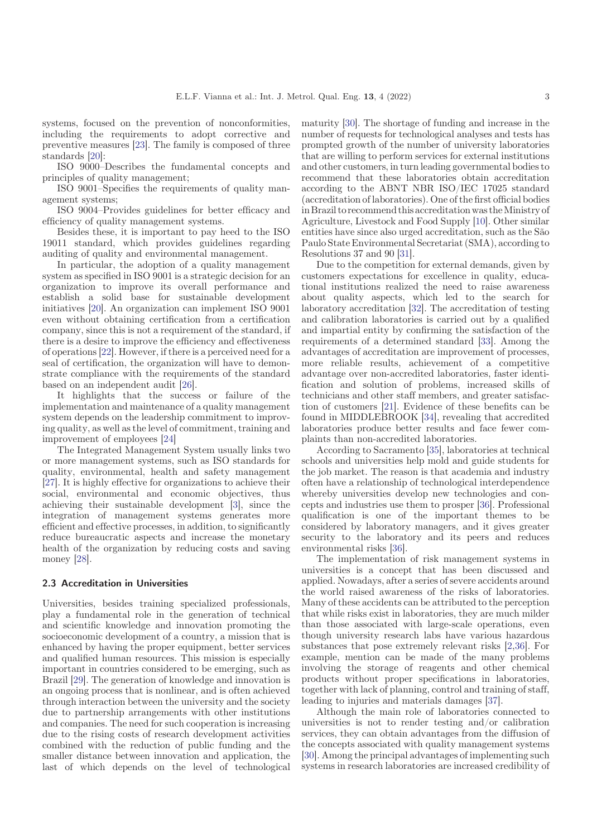systems, focused on the prevention of nonconformities, including the requirements to adopt corrective and preventive measures [[23\]](#page-7-0). The family is composed of three standards [[20\]](#page-7-0):

ISO 9000–Describes the fundamental concepts and principles of quality management;

ISO 9001–Specifies the requirements of quality management systems;

ISO 9004–Provides guidelines for better efficacy and efficiency of quality management systems.

Besides these, it is important to pay heed to the ISO 19011 standard, which provides guidelines regarding auditing of quality and environmental management.

In particular, the adoption of a quality management system as specified in ISO 9001 is a strategic decision for an organization to improve its overall performance and establish a solid base for sustainable development initiatives [[20\]](#page-7-0). An organization can implement ISO 9001 even without obtaining certification from a certification company, since this is not a requirement of the standard, if there is a desire to improve the efficiency and effectiveness of operations [[22\]](#page-7-0). However, if there is a perceived need for a seal of certification, the organization will have to demonstrate compliance with the requirements of the standard based on an independent audit [\[26\]](#page-7-0).

It highlights that the success or failure of the implementation and maintenance of a quality management system depends on the leadership commitment to improving quality, as well as the level of commitment, training and improvement of employees [[24\]](#page-7-0)

The Integrated Management System usually links two or more management systems, such as ISO standards for quality, environmental, health and safety management [\[27](#page-7-0)]. It is highly effective for organizations to achieve their social, environmental and economic objectives, thus achieving their sustainable development [\[3](#page-7-0)], since the integration of management systems generates more efficient and effective processes, in addition, to significantly reduce bureaucratic aspects and increase the monetary health of the organization by reducing costs and saving money [\[28](#page-7-0)].

#### 2.3 Accreditation in Universities

Universities, besides training specialized professionals, play a fundamental role in the generation of technical and scientific knowledge and innovation promoting the socioeconomic development of a country, a mission that is enhanced by having the proper equipment, better services and qualified human resources. This mission is especially important in countries considered to be emerging, such as Brazil [[29\]](#page-7-0). The generation of knowledge and innovation is an ongoing process that is nonlinear, and is often achieved through interaction between the university and the society due to partnership arrangements with other institutions and companies. The need for such cooperation is increasing due to the rising costs of research development activities combined with the reduction of public funding and the smaller distance between innovation and application, the last of which depends on the level of technological

maturity [\[30\]](#page-8-0). The shortage of funding and increase in the number of requests for technological analyses and tests has prompted growth of the number of university laboratories that are willing to perform services for external institutions and other customers, in turn leading governmental bodies to recommend that these laboratories obtain accreditation according to the ABNT NBR ISO/IEC 17025 standard (accreditation of laboratories). One of the first official bodies in Brazil to recommend this accreditation was theMinistry of Agriculture, Livestock and Food Supply [\[10](#page-7-0)]. Other similar entities have since also urged accreditation, such as the São Paulo State Environmental Secretariat (SMA), according to Resolutions 37 and 90 [\[31\]](#page-8-0).

Due to the competition for external demands, given by customers expectations for excellence in quality, educational institutions realized the need to raise awareness about quality aspects, which led to the search for laboratory accreditation [[32\]](#page-8-0). The accreditation of testing and calibration laboratories is carried out by a qualified and impartial entity by confirming the satisfaction of the requirements of a determined standard [[33\]](#page-8-0). Among the advantages of accreditation are improvement of processes, more reliable results, achievement of a competitive advantage over non-accredited laboratories, faster identification and solution of problems, increased skills of technicians and other staff members, and greater satisfaction of customers [\[21](#page-7-0)]. Evidence of these benefits can be found in MIDDLEBROOK [[34\]](#page-8-0), revealing that accredited laboratories produce better results and face fewer complaints than non-accredited laboratories.

According to Sacramento [[35\]](#page-8-0), laboratories at technical schools and universities help mold and guide students for the job market. The reason is that academia and industry often have a relationship of technological interdependence whereby universities develop new technologies and concepts and industries use them to prosper [[36](#page-8-0)]. Professional qualification is one of the important themes to be considered by laboratory managers, and it gives greater security to the laboratory and its peers and reduces environmental risks [[36\]](#page-8-0).

The implementation of risk management systems in universities is a concept that has been discussed and applied. Nowadays, after a series of severe accidents around the world raised awareness of the risks of laboratories. Many of these accidents can be attributed to the perception that while risks exist in laboratories, they are much milder than those associated with large-scale operations, even though university research labs have various hazardous substances that pose extremely relevant risks [\[2](#page-7-0),[36\]](#page-8-0). For example, mention can be made of the many problems involving the storage of reagents and other chemical products without proper specifications in laboratories, together with lack of planning, control and training of staff, leading to injuries and materials damages [[37\]](#page-8-0).

Although the main role of laboratories connected to universities is not to render testing and/or calibration services, they can obtain advantages from the diffusion of the concepts associated with quality management systems [\[30](#page-8-0)]. Among the principal advantages of implementing such systems in research laboratories are increased credibility of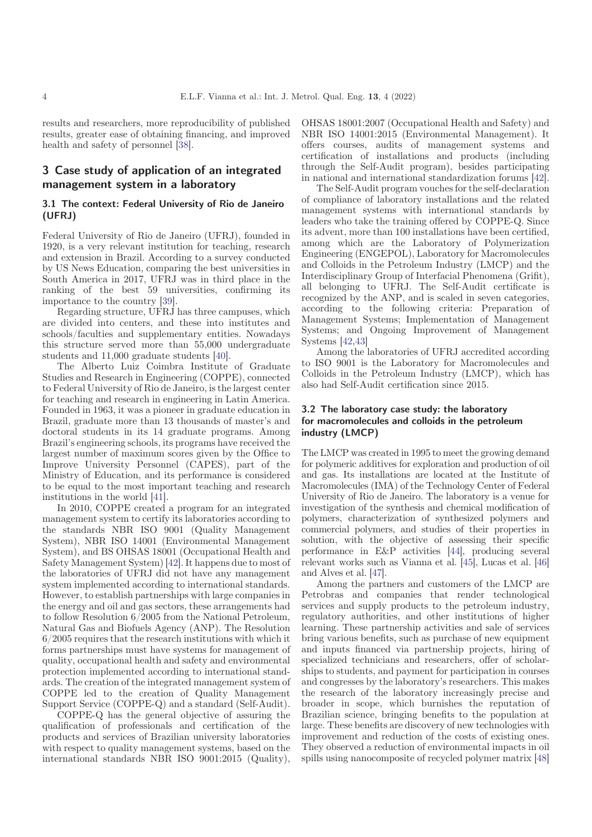results and researchers, more reproducibility of published results, greater ease of obtaining financing, and improved health and safety of personnel [[38](#page-8-0)].

# 3 Case study of application of an integrated management system in a laboratory

## 3.1 The context: Federal University of Rio de Janeiro (UFRJ)

Federal University of Rio de Janeiro (UFRJ), founded in 1920, is a very relevant institution for teaching, research and extension in Brazil. According to a survey conducted by US News Education, comparing the best universities in South America in 2017, UFRJ was in third place in the ranking of the best 59 universities, confirming its importance to the country [\[39](#page-8-0)].

Regarding structure, UFRJ has three campuses, which are divided into centers, and these into institutes and schools/faculties and supplementary entities. Nowadays this structure served more than 55,000 undergraduate students and 11,000 graduate students [[40\]](#page-8-0).

The Alberto Luiz Coimbra Institute of Graduate Studies and Research in Engineering (COPPE), connected to Federal University of Rio de Janeiro, is the largest center for teaching and research in engineering in Latin America. Founded in 1963, it was a pioneer in graduate education in Brazil, graduate more than 13 thousands of master's and doctoral students in its 14 graduate programs. Among Brazil's engineering schools, its programs have received the largest number of maximum scores given by the Office to Improve University Personnel (CAPES), part of the Ministry of Education, and its performance is considered to be equal to the most important teaching and research institutions in the world [\[41](#page-8-0)].

In 2010, COPPE created a program for an integrated management system to certify its laboratories according to the standards NBR ISO 9001 (Quality Management System), NBR ISO 14001 (Environmental Management System), and BS OHSAS 18001 (Occupational Health and Safety Management System) [\[42](#page-8-0)]. It happens due to most of the laboratories of UFRJ did not have any management system implemented according to international standards. However, to establish partnerships with large companies in the energy and oil and gas sectors, these arrangements had to follow Resolution 6/2005 from the National Petroleum, Natural Gas and Biofuels Agency (ANP). The Resolution 6/2005 requires that the research institutions with which it forms partnerships must have systems for management of quality, occupational health and safety and environmental protection implemented according to international standards. The creation of the integrated management system of COPPE led to the creation of Quality Management Support Service (COPPE-Q) and a standard (Self-Audit).

COPPE-Q has the general objective of assuring the qualification of professionals and certification of the products and services of Brazilian university laboratories with respect to quality management systems, based on the international standards NBR ISO 9001:2015 (Quality),

OHSAS 18001:2007 (Occupational Health and Safety) and NBR ISO 14001:2015 (Environmental Management). It offers courses, audits of management systems and certification of installations and products (including through the Self-Audit program), besides participating in national and international standardization forums [\[42](#page-8-0)].

The Self-Audit program vouches for the self-declaration of compliance of laboratory installations and the related management systems with international standards by leaders who take the training offered by COPPE-Q. Since its advent, more than 100 installations have been certified, among which are the Laboratory of Polymerization Engineering (ENGEPOL), Laboratory for Macromolecules and Colloids in the Petroleum Industry (LMCP) and the Interdisciplinary Group of Interfacial Phenomena (Grifit), all belonging to UFRJ. The Self-Audit certificate is recognized by the ANP, and is scaled in seven categories, according to the following criteria: Preparation of Management Systems; Implementation of Management Systems; and Ongoing Improvement of Management Systems [[42,43](#page-8-0)]

Among the laboratories of UFRJ accredited according to ISO 9001 is the Laboratory for Macromolecules and Colloids in the Petroleum Industry (LMCP), which has also had Self-Audit certification since 2015.

### 3.2 The laboratory case study: the laboratory for macromolecules and colloids in the petroleum industry (LMCP)

The LMCP was created in 1995 to meet the growing demand for polymeric additives for exploration and production of oil and gas. Its installations are located at the Institute of Macromolecules (IMA) of the Technology Center of Federal University of Rio de Janeiro. The laboratory is a venue for investigation of the synthesis and chemical modification of polymers, characterization of synthesized polymers and commercial polymers, and studies of their properties in solution, with the objective of assessing their specific performance in E&P activities [[44\]](#page-8-0), producing several relevant works such as Vianna et al. [[45\]](#page-8-0), Lucas et al. [\[46\]](#page-8-0) and Alves et al. [\[47\]](#page-8-0).

Among the partners and customers of the LMCP are Petrobras and companies that render technological services and supply products to the petroleum industry, regulatory authorities, and other institutions of higher learning. These partnership activities and sale of services bring various benefits, such as purchase of new equipment and inputs financed via partnership projects, hiring of specialized technicians and researchers, offer of scholarships to students, and payment for participation in courses and congresses by the laboratory's researchers. This makes the research of the laboratory increasingly precise and broader in scope, which burnishes the reputation of Brazilian science, bringing benefits to the population at large. These benefits are discovery of new technologies with improvement and reduction of the costs of existing ones. They observed a reduction of environmental impacts in oil spills using nanocomposite of recycled polymer matrix [\[48\]](#page-8-0)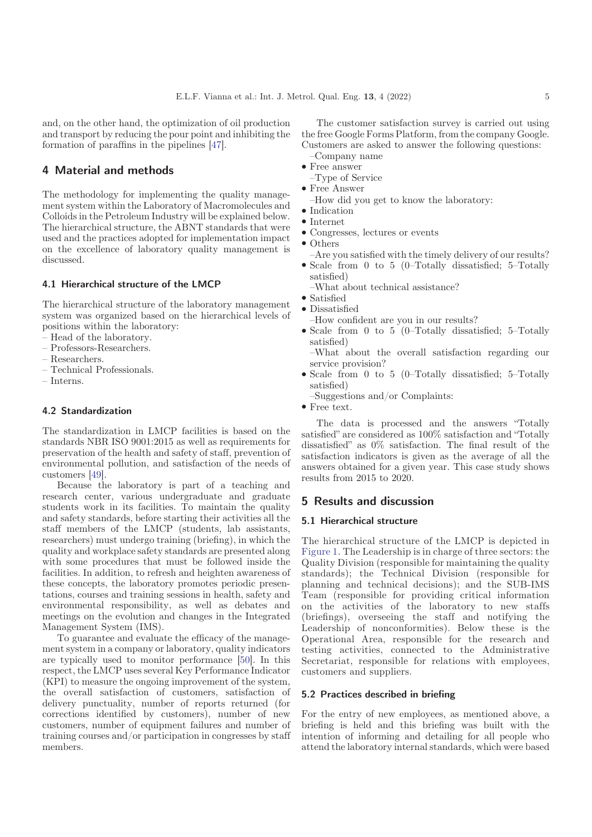and, on the other hand, the optimization of oil production and transport by reducing the pour point and inhibiting the formation of paraffins in the pipelines [[47\]](#page-8-0).

# 4 Material and methods

The methodology for implementing the quality management system within the Laboratory of Macromolecules and Colloids in the Petroleum Industry will be explained below. The hierarchical structure, the ABNT standards that were used and the practices adopted for implementation impact on the excellence of laboratory quality management is discussed.

#### 4.1 Hierarchical structure of the LMCP

The hierarchical structure of the laboratory management system was organized based on the hierarchical levels of positions within the laboratory:

- Head of the laboratory.
- Professors-Researchers.
- Researchers.
- Technical Professionals.
- $=$  Interns.

## 4.2 Standardization

The standardization in LMCP facilities is based on the standards NBR ISO 9001:2015 as well as requirements for preservation of the health and safety of staff, prevention of environmental pollution, and satisfaction of the needs of customers [[49\]](#page-8-0).

Because the laboratory is part of a teaching and research center, various undergraduate and graduate students work in its facilities. To maintain the quality and safety standards, before starting their activities all the staff members of the LMCP (students, lab assistants, researchers) must undergo training (briefing), in which the quality and workplace safety standards are presented along with some procedures that must be followed inside the facilities. In addition, to refresh and heighten awareness of these concepts, the laboratory promotes periodic presentations, courses and training sessions in health, safety and environmental responsibility, as well as debates and meetings on the evolution and changes in the Integrated Management System (IMS).

To guarantee and evaluate the efficacy of the management system in a company or laboratory, quality indicators are typically used to monitor performance [\[50](#page-8-0)]. In this respect, the LMCP uses several Key Performance Indicator (KPI) to measure the ongoing improvement of the system, the overall satisfaction of customers, satisfaction of delivery punctuality, number of reports returned (for corrections identified by customers), number of new customers, number of equipment failures and number of training courses and/or participation in congresses by staff members.

The customer satisfaction survey is carried out using the free Google Forms Platform, from the company Google. Customers are asked to answer the following questions:

- -Company name • Free answer
- $-T$ ype of Service
- $\bullet$  Free Answer
	- -How did you get to know the laboratory:
- Indication
- $\bullet$  Internet
- \* Congresses, lectures or events
- $\bullet$  Others
- -Are you satisfied with the timely delivery of our results?
- $\bullet$  Scale from 0 to 5 (0–Totally dissatisfied; 5–Totally satisfied)
	- -What about technical assistance?
- Satisfied
- Dissatisfied
- -How confident are you in our results?
- \* Scale from 0 to 5 (0–Totally dissatisfied; 5–Totally satisfied)

\* –What about the overall satisfaction regarding our service provision?

- Scale from 0 to 5 (0–Totally dissatisfied; 5–Totally satisfied)
	- $-Suggestions$  and/or Complaints:
- Free text.

The data is processed and the answers "Totally satisfied" are considered as 100% satisfaction and "Totally dissatisfied" as 0% satisfaction. The final result of the satisfaction indicators is given as the average of all the answers obtained for a given year. This case study shows results from 2015 to 2020.

## 5 Results and discussion

#### 5.1 Hierarchical structure

The hierarchical structure of the LMCP is depicted in [Figure 1.](#page-5-0) The Leadership is in charge of three sectors: the Quality Division (responsible for maintaining the quality standards); the Technical Division (responsible for planning and technical decisions); and the SUB-IMS Team (responsible for providing critical information on the activities of the laboratory to new staffs (briefings), overseeing the staff and notifying the Leadership of nonconformities). Below these is the Operational Area, responsible for the research and testing activities, connected to the Administrative Secretariat, responsible for relations with employees, customers and suppliers.

#### 5.2 Practices described in briefing

For the entry of new employees, as mentioned above, a briefing is held and this briefing was built with the intention of informing and detailing for all people who attend the laboratory internal standards, which were based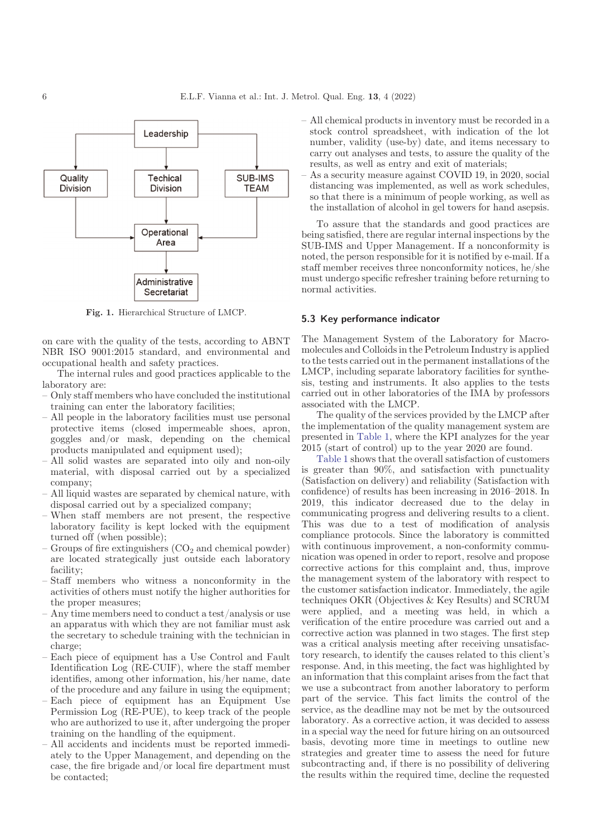<span id="page-5-0"></span>

Fig. 1. Hierarchical Structure of LMCP.

on care with the quality of the tests, according to ABNT NBR ISO 9001:2015 standard, and environmental and occupational health and safety practices.

The internal rules and good practices applicable to the laboratory are:

- Only staff members who have concluded the institutional training can enter the laboratory facilities;
- All people in the laboratory facilities must use personal protective items (closed impermeable shoes, apron, goggles and/or mask, depending on the chemical products manipulated and equipment used);
- All solid wastes are separated into oily and non-oily material, with disposal carried out by a specialized company;
- All liquid wastes are separated by chemical nature, with disposal carried out by a specialized company;
- When staff members are not present, the respective laboratory facility is kept locked with the equipment turned off (when possible);
- Groups of fire extinguishers  $(CO<sub>2</sub>$  and chemical powder) are located strategically just outside each laboratory facility;
- Staff members who witness a nonconformity in the activities of others must notify the higher authorities for the proper measures;
- Any time members need to conduct a test/analysis or use an apparatus with which they are not familiar must ask the secretary to schedule training with the technician in charge;
- Each piece of equipment has a Use Control and Fault Identification Log (RE-CUIF), where the staff member identifies, among other information, his/her name, date of the procedure and any failure in using the equipment;
- Each piece of equipment has an Equipment Use Permission Log (RE-PUE), to keep track of the people who are authorized to use it, after undergoing the proper training on the handling of the equipment.
- All accidents and incidents must be reported immediately to the Upper Management, and depending on the case, the fire brigade and/or local fire department must be contacted;

– All chemical products in inventory must be recorded in a stock control spreadsheet, with indication of the lot number, validity (use-by) date, and items necessary to carry out analyses and tests, to assure the quality of the results, as well as entry and exit of materials;

– As a security measure against COVID 19, in 2020, social distancing was implemented, as well as work schedules, so that there is a minimum of people working, as well as the installation of alcohol in gel towers for hand asepsis.

To assure that the standards and good practices are being satisfied, there are regular internal inspections by the SUB-IMS and Upper Management. If a nonconformity is noted, the person responsible for it is notified by e-mail. If a staff member receives three nonconformity notices, he/she must undergo specific refresher training before returning to normal activities.

#### 5.3 Key performance indicator

The Management System of the Laboratory for Macromolecules and Colloids in the Petroleum Industry is applied to the tests carried out in the permanent installations of the LMCP, including separate laboratory facilities for synthesis, testing and instruments. It also applies to the tests carried out in other laboratories of the IMA by professors associated with the LMCP.

The quality of the services provided by the LMCP after the implementation of the quality management system are presented in [Table 1,](#page-6-0) where the KPI analyzes for the year 2015 (start of control) up to the year 2020 are found.

[Table 1](#page-6-0) shows that the overall satisfaction of customers is greater than 90%, and satisfaction with punctuality (Satisfaction on delivery) and reliability (Satisfaction with confidence) of results has been increasing in 2016–2018. In 2019, this indicator decreased due to the delay in communicating progress and delivering results to a client. This was due to a test of modification of analysis compliance protocols. Since the laboratory is committed with continuous improvement, a non-conformity communication was opened in order to report, resolve and propose corrective actions for this complaint and, thus, improve the management system of the laboratory with respect to the customer satisfaction indicator. Immediately, the agile techniques OKR (Objectives & Key Results) and SCRUM were applied, and a meeting was held, in which a verification of the entire procedure was carried out and a corrective action was planned in two stages. The first step was a critical analysis meeting after receiving unsatisfactory research, to identify the causes related to this client's response. And, in this meeting, the fact was highlighted by an information that this complaint arises from the fact that we use a subcontract from another laboratory to perform part of the service. This fact limits the control of the service, as the deadline may not be met by the outsourced laboratory. As a corrective action, it was decided to assess in a special way the need for future hiring on an outsourced basis, devoting more time in meetings to outline new strategies and greater time to assess the need for future subcontracting and, if there is no possibility of delivering the results within the required time, decline the requested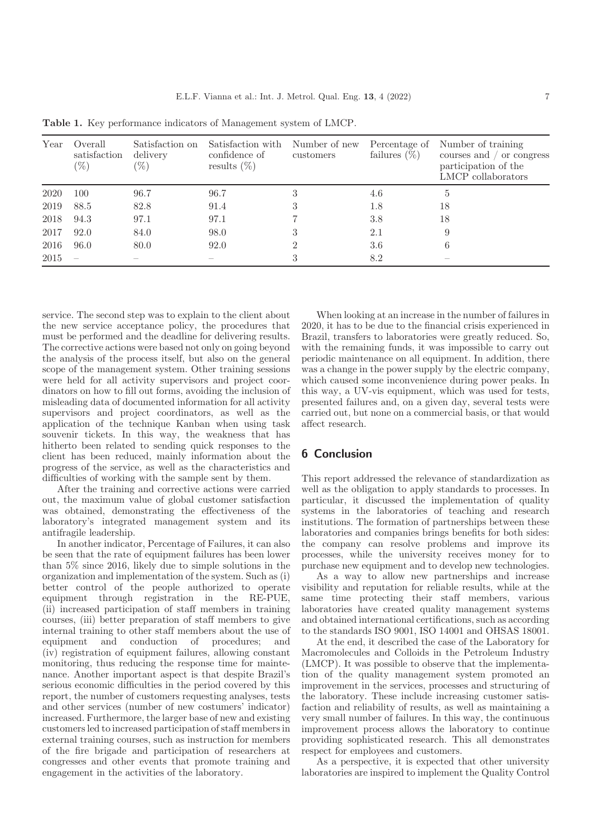| Year | Overall<br>satisfaction<br>$(\%)$ | Satisfaction on<br>delivery<br>$(\%)$ | Satisfaction with<br>confidence of<br>results $(\%)$ | Number of new<br>customers | Percentage of<br>failures $(\%)$ | Number of training<br>courses and / or congress<br>participation of the<br>LMCP collaborators |
|------|-----------------------------------|---------------------------------------|------------------------------------------------------|----------------------------|----------------------------------|-----------------------------------------------------------------------------------------------|
| 2020 | 100                               | 96.7                                  | 96.7                                                 |                            | 4.6                              | 5                                                                                             |
| 2019 | 88.5                              | 82.8                                  | 91.4                                                 |                            | 1.8                              | 18                                                                                            |
| 2018 | 94.3                              | 97.1                                  | 97.1                                                 |                            | 3.8                              | 18                                                                                            |
| 2017 | 92.0                              | 84.0                                  | 98.0                                                 |                            | 2.1                              | 9                                                                                             |
| 2016 | 96.0                              | 80.0                                  | 92.0                                                 |                            | 3.6                              | 6                                                                                             |
| 2015 |                                   |                                       |                                                      |                            | 8.2                              |                                                                                               |

<span id="page-6-0"></span>Table 1. Key performance indicators of Management system of LMCP.

service. The second step was to explain to the client about the new service acceptance policy, the procedures that must be performed and the deadline for delivering results. The corrective actions were based not only on going beyond the analysis of the process itself, but also on the general scope of the management system. Other training sessions were held for all activity supervisors and project coordinators on how to fill out forms, avoiding the inclusion of misleading data of documented information for all activity supervisors and project coordinators, as well as the application of the technique Kanban when using task souvenir tickets. In this way, the weakness that has hitherto been related to sending quick responses to the client has been reduced, mainly information about the progress of the service, as well as the characteristics and difficulties of working with the sample sent by them.

After the training and corrective actions were carried out, the maximum value of global customer satisfaction was obtained, demonstrating the effectiveness of the laboratory's integrated management system and its antifragile leadership.

In another indicator, Percentage of Failures, it can also be seen that the rate of equipment failures has been lower than 5% since 2016, likely due to simple solutions in the organization and implementation of the system. Such as (i) better control of the people authorized to operate equipment through registration in the RE-PUE, (ii) increased participation of staff members in training courses, (iii) better preparation of staff members to give internal training to other staff members about the use of equipment and conduction of procedures; and (iv) registration of equipment failures, allowing constant monitoring, thus reducing the response time for maintenance. Another important aspect is that despite Brazil's serious economic difficulties in the period covered by this report, the number of customers requesting analyses, tests and other services (number of new costumers' indicator) increased. Furthermore, the larger base of new and existing customers led to increased participation of staff members in external training courses, such as instruction for members of the fire brigade and participation of researchers at congresses and other events that promote training and engagement in the activities of the laboratory.

When looking at an increase in the number of failures in 2020, it has to be due to the financial crisis experienced in Brazil, transfers to laboratories were greatly reduced. So, with the remaining funds, it was impossible to carry out periodic maintenance on all equipment. In addition, there was a change in the power supply by the electric company, which caused some inconvenience during power peaks. In this way, a UV-vis equipment, which was used for tests, presented failures and, on a given day, several tests were carried out, but none on a commercial basis, or that would affect research.

## 6 Conclusion

This report addressed the relevance of standardization as well as the obligation to apply standards to processes. In particular, it discussed the implementation of quality systems in the laboratories of teaching and research institutions. The formation of partnerships between these laboratories and companies brings benefits for both sides: the company can resolve problems and improve its processes, while the university receives money for to purchase new equipment and to develop new technologies.

As a way to allow new partnerships and increase visibility and reputation for reliable results, while at the same time protecting their staff members, various laboratories have created quality management systems and obtained international certifications, such as according to the standards ISO 9001, ISO 14001 and OHSAS 18001.

At the end, it described the case of the Laboratory for Macromolecules and Colloids in the Petroleum Industry (LMCP). It was possible to observe that the implementation of the quality management system promoted an improvement in the services, processes and structuring of the laboratory. These include increasing customer satisfaction and reliability of results, as well as maintaining a very small number of failures. In this way, the continuous improvement process allows the laboratory to continue providing sophisticated research. This all demonstrates respect for employees and customers.

As a perspective, it is expected that other university laboratories are inspired to implement the Quality Control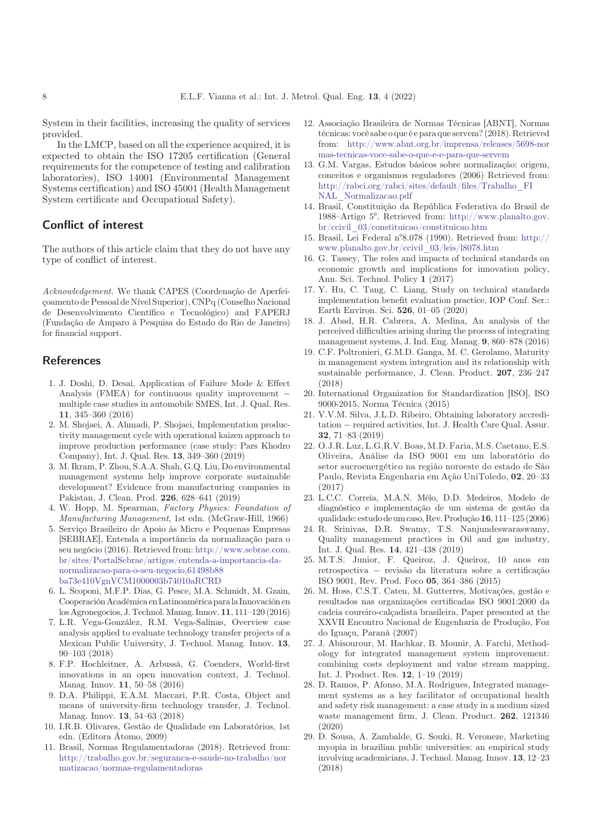<span id="page-7-0"></span>System in their facilities, increasing the quality of services provided.

In the LMCP, based on all the experience acquired, it is expected to obtain the ISO 17205 certification (General requirements for the competence of testing and calibration laboratories), ISO 14001 (Environmental Management Systems certification) and ISO 45001 (Health Management System certificate and Occupational Safety).

# Conflict of interest

The authors of this article claim that they do not have any type of conflict of interest.

Acknowledgement. We thank CAPES (Coordenação de Aperfeiçoamento de Pessoal de Nível Superior), CNPq (Conselho Nacional de Desenvolvimento Científico e Tecnológico) and FAPERJ (Fundação de Amparo à Pesquisa do Estado do Rio de Janeiro) for financial support.

### **References**

- 1. J. Doshi, D. Desai, Application of Failure Mode & Effect Analysis (FMEA) for continuous quality improvement multiple case studies in automobile SMES, Int. J. Qual. Res. 11, 345–360 (2016)
- 2. M. Shojaei, A. Ahmadi, P. Shojaei, Implementation productivity management cycle with operational kaizen approach to improve production performance (case study: Pars Khodro Company), Int. J. Qual. Res. 13, 349–360 (2019)
- 3. M. Ikram, P. Zhou, S.A.A. Shah, G.Q. Liu, Do environmental management systems help improve corporate sustainable development? Evidence from manufacturing companies in Pakistan, J. Clean. Prod. 226, 628–641 (2019)
- 4. W. Hopp, M. Spearman, Factory Physics: Foundation of Manufacturing Management, 1st edn. (McGraw-Hill, 1966)
- 5. Serviço Brasileiro de Apoio às Micro e Pequenas Empresas [SEBRAE], Entenda a importância da normalização para o seu negócio (2016). Retrieved from: [http://www.sebrae.com.](http://www.sebrae.com.br/sites/PortalSebrae/artigos/entenda-a-importancia-da-normalizacao-para-o-seu-negocio,61498b88ba73e410VgnVCM1000003b74010aRCRD) [br/sites/PortalSebrae/artigos/entenda-a-importancia-da](http://www.sebrae.com.br/sites/PortalSebrae/artigos/entenda-a-importancia-da-normalizacao-para-o-seu-negocio,61498b88ba73e410VgnVCM1000003b74010aRCRD)[normalizacao-para-o-seu-negocio,61498b88](http://www.sebrae.com.br/sites/PortalSebrae/artigos/entenda-a-importancia-da-normalizacao-para-o-seu-negocio,61498b88ba73e410VgnVCM1000003b74010aRCRD) [ba73e410VgnVCM1000003b74010aRCRD](http://www.sebrae.com.br/sites/PortalSebrae/artigos/entenda-a-importancia-da-normalizacao-para-o-seu-negocio,61498b88ba73e410VgnVCM1000003b74010aRCRD)
- 6. L. Scoponi, M.F.P. Dias, G. Pesce, M.A. Schmidt, M. Gzain, CooperaciónAcadémica enLatinoamérica parala Innovación en los Agronegocios, J. Technol.Manag. Innov. 11, 111–120 (2016)
- 7. L.R. Vega-González, R.M. Vega-Salinas, Overview case analysis applied to evaluate technology transfer projects of a Mexican Public University, J. Technol. Manag. Innov. 13, 90–103 (2018)
- 8. F.P. Hochleitner, A. Arbussà, G. Coenders, World-first innovations in an open innovation context, J. Technol. Manag. Innov. 11, 50–58 (2016)
- 9. D.A. Philippi, E.A.M. Maccari, P.R. Costa, Object and means of university-firm technology transfer, J. Technol. Manag. Innov. 13, 54–63 (2018)
- 10. I.R.B. Olivares, Gestão de Qualidade em Laboratórios, 1st edn. (Editora Átomo, 2009)
- 11. Brasil, Normas Regulamentadoras (2018). Retrieved from: [http://trabalho.gov.br/seguranca-e-saude-no-trabalho/nor](http://trabalho.gov.br/seguranca-e-saude-no-trabalho/normatizacao/normas-regulamentadoras) [matizacao/normas-regulamentadoras](http://trabalho.gov.br/seguranca-e-saude-no-trabalho/normatizacao/normas-regulamentadoras)
- 12. Associação Brasileira de Normas Técnicas [ABNT], Normas técnicas: você sabe o que é e para que servem? (2018). Retrieved from: [http://www.abnt.org.br/imprensa/releases/5698-nor](http://www.abnt.org.br/imprensa/releases/5698-normas-tecnicas-voce-sabe-o-que-e-e-para-que-servem) [mas-tecnicas-voce-sabe-o-que-e-e-para-que-servem](http://www.abnt.org.br/imprensa/releases/5698-normas-tecnicas-voce-sabe-o-que-e-e-para-que-servem)
- 13. G.M. Vargas, Estudos básicos sobre normalização: origem, conceitos e organismos reguladores (2006) Retrieved from: [http://rabci.org/rabci/sites/default/](http://rabci.org/rabci/sites/default/files/Trabalho_FINAL_Normalizacao.pdf)files/Trabalho\_FI [NAL\\_Normalizacao.pdf](http://rabci.org/rabci/sites/default/files/Trabalho_FINAL_Normalizacao.pdf)
- 14. Brasil, Constituição da Republica Federativa do Brasil de 1988–Artigo 5°. Retrieved from: [http://www.planalto.gov.](http://www.planalto.gov.br/ccivil_03/constituicao/constituicao.htm) [br/ccivil\\_03/constituicao/constituicao.htm](http://www.planalto.gov.br/ccivil_03/constituicao/constituicao.htm)
- 15. Brasil, Lei Federal n°8.078 (1990). Retrieved from: [http://](http://www.planalto.gov.br/ccivil_03/leis/l8078.htm) [www.planalto.gov.br/ccivil\\_03/leis/l8078.htm](http://www.planalto.gov.br/ccivil_03/leis/l8078.htm)
- 16. G. Tassey, The roles and impacts of technical standards on economic growth and implications for innovation policy, Ann. Sci. Technol. Policy 1 (2017)
- 17. Y. Hu, C. Tang, C. Liang, Study on technical standards implementation benefit evaluation practice, IOP Conf. Ser.: Earth Environ. Sci. 526, 01–05 (2020)
- 18. J. Abad, H.R. Cabrera, A. Medina, An analysis of the perceived difficulties arising during the process of integrating management systems, J. Ind. Eng. Manag. 9, 860–878 (2016)
- 19. C.F. Poltronieri, G.M.D. Ganga, M. C. Gerolamo, Maturity in management system integration and its relationship with sustainable performance, J. Clean. Product. 207, 236–247 (2018)
- 20. International Organization for Standardization [ISO], ISO 9000-2015, Norma Técnica (2015)
- 21. V.V.M. Silva, J.L.D. Ribeiro, Obtaining laboratory accreditation - required activities, Int. J. Health Care Qual. Assur. 32, 71–83 (2019)
- 22. O.J.R. Luz, L.G.R.V. Boas, M.D. Faria, M.S. Caetano, E.S. Oliveira, Análise da ISO 9001 em um laboratório do setor sucroenergético na região noroeste do estado de São Paulo, Revista Engenharia em Ação UniToledo, 02, 20–33 (2017)
- 23. L.C.C. Correia, M.A.N. Mélo, D.D. Medeiros, Modelo de diagnóstico e implementação de um sistema de gestão da qualidade: estudo de um caso,Rev.Produção16, 111–125 (2006)
- 24. R. Srinivas, D.R. Swamy, T.S. Nanjundeswaraswamy, Quality management practices in Oil and gas industry, Int. J. Qual. Res. 14, 421–438 (2019)
- 25. M.T.S. Junior, F. Queiroz, J. Queiroz, 10 anos em retrospectiva revisão da literatura sobre a certificação ISO 9001, Rev. Prod. Foco 05, 364–386 (2015)
- 26. M. Hoss, C.S.T. Caten, M. Gutterres, Motivações, gestão e resultados nas organizações certificadas ISO 9001:2000 da cadeia coureiro-calçadista brasileira, Paper presented at the XXVII Encontro Nacional de Engenharia de Produção, Foz do Iguaçu, Paraná (2007)
- 27. J. Abisourour, M. Hachkar, B. Mounir, A. Farchi, Methodology for integrated management system improvement: combining costs deployment and value stream mapping, Int. J. Product. Res. 12, 1–19 (2019)
- 28. D. Ramos, P. Afonso, M.A. Rodrigues, Integrated management systems as a key facilitator of occupational health and safety risk management: a case study in a medium sized waste management firm, J. Clean. Product. 262, 121346 (2020)
- 29. D. Sousa, A. Zambalde, G. Souki, R. Veroneze, Marketing myopia in brazilian public universities: an empirical study involving academicians, J. Technol. Manag. Innov. 13, 12–23 (2018)